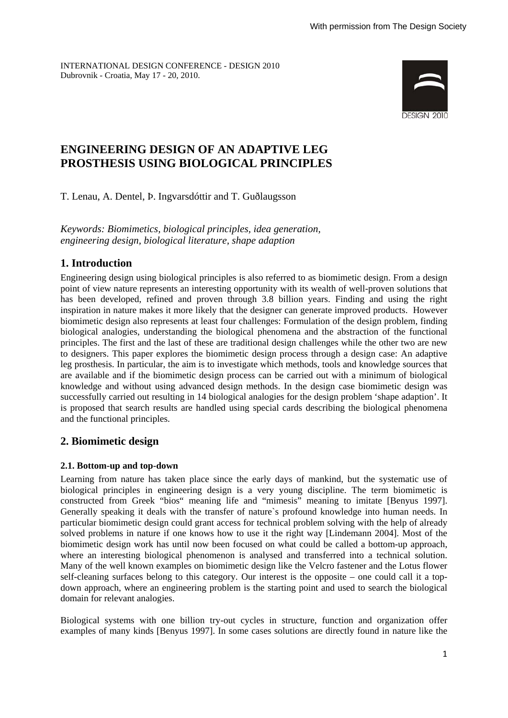INTERNATIONAL DESIGN CONFERENCE - DESIGN 2010 Dubrovnik - Croatia, May 17 - 20, 2010.



# **ENGINEERING DESIGN OF AN ADAPTIVE LEG PROSTHESIS USING BIOLOGICAL PRINCIPLES**

T. Lenau, A. Dentel, Þ. Ingvarsdóttir and T. Guðlaugsson

*Keywords: Biomimetics, biological principles, idea generation, engineering design, biological literature, shape adaption* 

## **1. Introduction**

Engineering design using biological principles is also referred to as biomimetic design. From a design point of view nature represents an interesting opportunity with its wealth of well-proven solutions that has been developed, refined and proven through 3.8 billion years. Finding and using the right inspiration in nature makes it more likely that the designer can generate improved products. However biomimetic design also represents at least four challenges: Formulation of the design problem, finding biological analogies, understanding the biological phenomena and the abstraction of the functional principles. The first and the last of these are traditional design challenges while the other two are new to designers. This paper explores the biomimetic design process through a design case: An adaptive leg prosthesis. In particular, the aim is to investigate which methods, tools and knowledge sources that are available and if the biomimetic design process can be carried out with a minimum of biological knowledge and without using advanced design methods. In the design case biomimetic design was successfully carried out resulting in 14 biological analogies for the design problem 'shape adaption'. It is proposed that search results are handled using special cards describing the biological phenomena and the functional principles.

## **2. Biomimetic design**

#### **2.1. Bottom-up and top-down**

Learning from nature has taken place since the early days of mankind, but the systematic use of biological principles in engineering design is a very young discipline. The term biomimetic is constructed from Greek "bios" meaning life and "mimesis" meaning to imitate [Benyus 1997]. Generally speaking it deals with the transfer of nature`s profound knowledge into human needs. In particular biomimetic design could grant access for technical problem solving with the help of already solved problems in nature if one knows how to use it the right way [Lindemann 2004]. Most of the biomimetic design work has until now been focused on what could be called a bottom-up approach, where an interesting biological phenomenon is analysed and transferred into a technical solution. Many of the well known examples on biomimetic design like the Velcro fastener and the Lotus flower self-cleaning surfaces belong to this category. Our interest is the opposite – one could call it a topdown approach, where an engineering problem is the starting point and used to search the biological domain for relevant analogies.

Biological systems with one billion try-out cycles in structure, function and organization offer examples of many kinds [Benyus 1997]. In some cases solutions are directly found in nature like the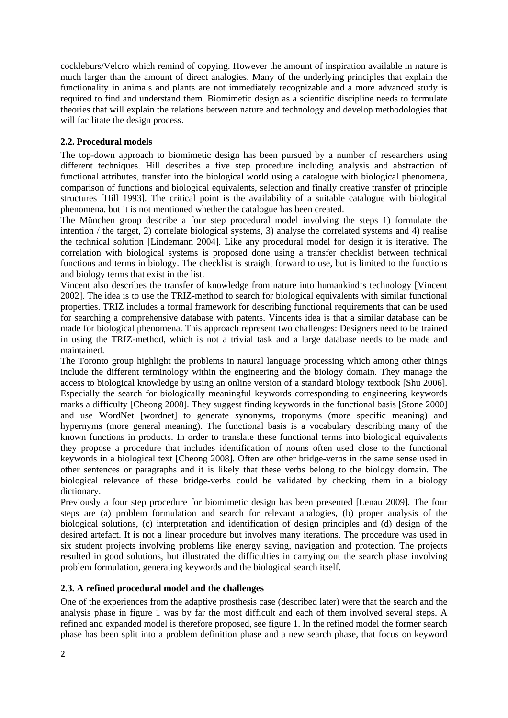cockleburs/Velcro which remind of copying. However the amount of inspiration available in nature is much larger than the amount of direct analogies. Many of the underlying principles that explain the functionality in animals and plants are not immediately recognizable and a more advanced study is required to find and understand them. Biomimetic design as a scientific discipline needs to formulate theories that will explain the relations between nature and technology and develop methodologies that will facilitate the design process.

#### **2.2. Procedural models**

The top-down approach to biomimetic design has been pursued by a number of researchers using different techniques. Hill describes a five step procedure including analysis and abstraction of functional attributes, transfer into the biological world using a catalogue with biological phenomena, comparison of functions and biological equivalents, selection and finally creative transfer of principle structures [Hill 1993]. The critical point is the availability of a suitable catalogue with biological phenomena, but it is not mentioned whether the catalogue has been created.

The München group describe a four step procedural model involving the steps 1) formulate the intention / the target, 2) correlate biological systems, 3) analyse the correlated systems and 4) realise the technical solution [Lindemann 2004]. Like any procedural model for design it is iterative. The correlation with biological systems is proposed done using a transfer checklist between technical functions and terms in biology. The checklist is straight forward to use, but is limited to the functions and biology terms that exist in the list.

Vincent also describes the transfer of knowledge from nature into humankind's technology [Vincent 2002]. The idea is to use the TRIZ-method to search for biological equivalents with similar functional properties. TRIZ includes a formal framework for describing functional requirements that can be used for searching a comprehensive database with patents. Vincents idea is that a similar database can be made for biological phenomena. This approach represent two challenges: Designers need to be trained in using the TRIZ-method, which is not a trivial task and a large database needs to be made and maintained.

The Toronto group highlight the problems in natural language processing which among other things include the different terminology within the engineering and the biology domain. They manage the access to biological knowledge by using an online version of a standard biology textbook [Shu 2006]. Especially the search for biologically meaningful keywords corresponding to engineering keywords marks a difficulty [Cheong 2008]. They suggest finding keywords in the functional basis [Stone 2000] and use WordNet [wordnet] to generate synonyms, troponyms (more specific meaning) and hypernyms (more general meaning). The functional basis is a vocabulary describing many of the known functions in products. In order to translate these functional terms into biological equivalents they propose a procedure that includes identification of nouns often used close to the functional keywords in a biological text [Cheong 2008]. Often are other bridge-verbs in the same sense used in other sentences or paragraphs and it is likely that these verbs belong to the biology domain. The biological relevance of these bridge-verbs could be validated by checking them in a biology dictionary.

Previously a four step procedure for biomimetic design has been presented [Lenau 2009]. The four steps are (a) problem formulation and search for relevant analogies, (b) proper analysis of the biological solutions, (c) interpretation and identification of design principles and (d) design of the desired artefact. It is not a linear procedure but involves many iterations. The procedure was used in six student projects involving problems like energy saving, navigation and protection. The projects resulted in good solutions, but illustrated the difficulties in carrying out the search phase involving problem formulation, generating keywords and the biological search itself.

#### **2.3. A refined procedural model and the challenges**

One of the experiences from the adaptive prosthesis case (described later) were that the search and the analysis phase in figure 1 was by far the most difficult and each of them involved several steps. A refined and expanded model is therefore proposed, see figure 1. In the refined model the former search phase has been split into a problem definition phase and a new search phase, that focus on keyword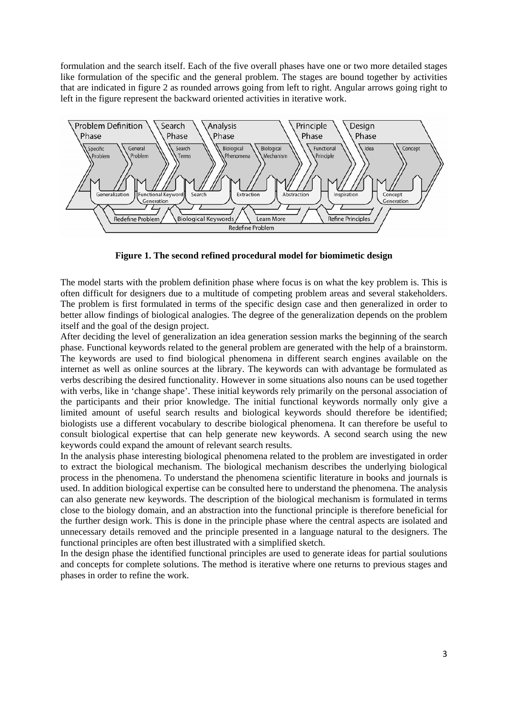formulation and the search itself. Each of the five overall phases have one or two more detailed stages like formulation of the specific and the general problem. The stages are bound together by activities that are indicated in figure 2 as rounded arrows going from left to right. Angular arrows going right to left in the figure represent the backward oriented activities in iterative work.



**Figure 1. The second refined procedural model for biomimetic design** 

The model starts with the problem definition phase where focus is on what the key problem is. This is often difficult for designers due to a multitude of competing problem areas and several stakeholders. The problem is first formulated in terms of the specific design case and then generalized in order to better allow findings of biological analogies. The degree of the generalization depends on the problem itself and the goal of the design project.

After deciding the level of generalization an idea generation session marks the beginning of the search phase. Functional keywords related to the general problem are generated with the help of a brainstorm. The keywords are used to find biological phenomena in different search engines available on the internet as well as online sources at the library. The keywords can with advantage be formulated as verbs describing the desired functionality. However in some situations also nouns can be used together with verbs, like in 'change shape'. These initial keywords rely primarily on the personal association of the participants and their prior knowledge. The initial functional keywords normally only give a limited amount of useful search results and biological keywords should therefore be identified; biologists use a different vocabulary to describe biological phenomena. It can therefore be useful to consult biological expertise that can help generate new keywords. A second search using the new keywords could expand the amount of relevant search results.

In the analysis phase interesting biological phenomena related to the problem are investigated in order to extract the biological mechanism. The biological mechanism describes the underlying biological process in the phenomena. To understand the phenomena scientific literature in books and journals is used. In addition biological expertise can be consulted here to understand the phenomena. The analysis can also generate new keywords. The description of the biological mechanism is formulated in terms close to the biology domain, and an abstraction into the functional principle is therefore beneficial for the further design work. This is done in the principle phase where the central aspects are isolated and unnecessary details removed and the principle presented in a language natural to the designers. The functional principles are often best illustrated with a simplified sketch.

In the design phase the identified functional principles are used to generate ideas for partial soulutions and concepts for complete solutions. The method is iterative where one returns to previous stages and phases in order to refine the work.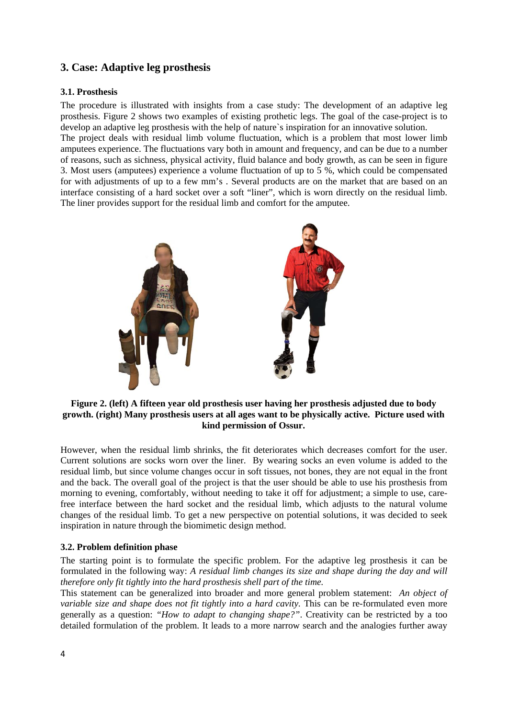## **3. Case: Adaptive leg prosthesis**

#### **3.1. Prosthesis**

The procedure is illustrated with insights from a case study: The development of an adaptive leg prosthesis. Figure 2 shows two examples of existing prothetic legs. The goal of the case-project is to develop an adaptive leg prosthesis with the help of nature`s inspiration for an innovative solution.

The project deals with residual limb volume fluctuation, which is a problem that most lower limb amputees experience. The fluctuations vary both in amount and frequency, and can be due to a number of reasons, such as sichness, physical activity, fluid balance and body growth, as can be seen in figure 3. Most users (amputees) experience a volume fluctuation of up to 5 %, which could be compensated for with adjustments of up to a few mm's . Several products are on the market that are based on an interface consisting of a hard socket over a soft "liner", which is worn directly on the residual limb. The liner provides support for the residual limb and comfort for the amputee.



**Figure 2. (left) A fifteen year old prosthesis user having her prosthesis adjusted due to body growth. (right) Many prosthesis users at all ages want to be physically active. Picture used with kind permission of Ossur.** 

However, when the residual limb shrinks, the fit deteriorates which decreases comfort for the user. Current solutions are socks worn over the liner. By wearing socks an even volume is added to the residual limb, but since volume changes occur in soft tissues, not bones, they are not equal in the front and the back. The overall goal of the project is that the user should be able to use his prosthesis from morning to evening, comfortably, without needing to take it off for adjustment; a simple to use, carefree interface between the hard socket and the residual limb, which adjusts to the natural volume changes of the residual limb. To get a new perspective on potential solutions, it was decided to seek inspiration in nature through the biomimetic design method.

#### **3.2. Problem definition phase**

The starting point is to formulate the specific problem. For the adaptive leg prosthesis it can be formulated in the following way: *A residual limb changes its size and shape during the day and will therefore only fit tightly into the hard prosthesis shell part of the time.*

This statement can be generalized into broader and more general problem statement: *An object of variable size and shape does not fit tightly into a hard cavity.* This can be re-formulated even more generally as a question: *"How to adapt to changing shape?"*. Creativity can be restricted by a too detailed formulation of the problem. It leads to a more narrow search and the analogies further away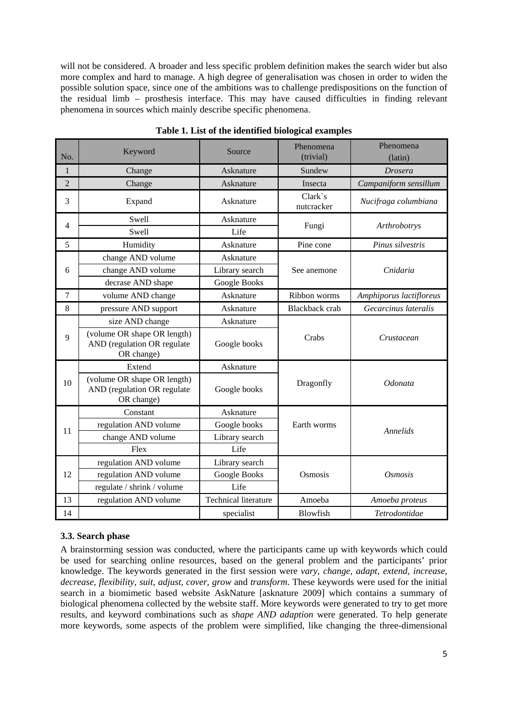will not be considered. A broader and less specific problem definition makes the search wider but also more complex and hard to manage. A high degree of generalisation was chosen in order to widen the possible solution space, since one of the ambitions was to challenge predispositions on the function of the residual limb – prosthesis interface. This may have caused difficulties in finding relevant phenomena in sources which mainly describe specific phenomena.

| No.            | Keyword                                                                                     | Source                                             | Phenomena<br>(trivial) | Phenomena<br>(latin)    |
|----------------|---------------------------------------------------------------------------------------------|----------------------------------------------------|------------------------|-------------------------|
| $\mathbf{1}$   | Change                                                                                      | Asknature                                          | Sundew                 | <b>Drosera</b>          |
| $\overline{2}$ | Change                                                                                      | Asknature                                          | Insecta                | Campaniform sensillum   |
| 3              | Expand                                                                                      | Asknature                                          | Clark's<br>nutcracker  | Nucifraga columbiana    |
| $\overline{4}$ | Swell<br>Swell                                                                              | Asknature<br>Life                                  | Fungi                  | Arthrobotrys            |
| 5              | Humidity                                                                                    | Asknature                                          | Pine cone              | Pinus silvestris        |
| 6              | change AND volume<br>change AND volume<br>decrase AND shape                                 | Asknature<br>Library search<br><b>Google Books</b> | See anemone            | Cnidaria                |
| $\tau$         | volume AND change                                                                           | Asknature                                          | Ribbon worms           | Amphiporus lactifloreus |
| 8              | pressure AND support                                                                        | Asknature                                          | Blackback crab         | Gecarcinus lateralis    |
| 9              | size AND change<br>(volume OR shape OR length)<br>AND (regulation OR regulate<br>OR change) | Asknature<br>Google books                          | Crabs                  | Crustacean              |
| 10             | Extend                                                                                      | Asknature                                          | Dragonfly              | <b>Odonata</b>          |
|                | (volume OR shape OR length)<br>AND (regulation OR regulate<br>OR change)                    | Google books                                       |                        |                         |
| 11             | Constant                                                                                    | Asknature                                          | Earth worms            | Annelids                |
|                | regulation AND volume                                                                       | Google books                                       |                        |                         |
|                | change AND volume                                                                           | Library search                                     |                        |                         |
|                | Flex                                                                                        | Life                                               |                        |                         |
| 12             | regulation AND volume                                                                       | Library search                                     | Osmosis                | <b>Osmosis</b>          |
|                | regulation AND volume                                                                       | <b>Google Books</b>                                |                        |                         |
|                | regulate / shrink / volume                                                                  | Life                                               |                        |                         |
| 13             | regulation AND volume                                                                       | <b>Technical literature</b>                        | Amoeba                 | Amoeba proteus          |
| 14             |                                                                                             | specialist                                         | Blowfish               | Tetrodontidae           |

**Table 1. List of the identified biological examples** 

#### **3.3. Search phase**

A brainstorming session was conducted, where the participants came up with keywords which could be used for searching online resources, based on the general problem and the participants' prior knowledge. The keywords generated in the first session were *vary, change, adapt, extend, increase, decrease, flexibility, suit, adjust, cover, grow* and *transform*. These keywords were used for the initial search in a biomimetic based website AskNature [asknature 2009] which contains a summary of biological phenomena collected by the website staff. More keywords were generated to try to get more results, and keyword combinations such as *shape AND adaption* were generated. To help generate more keywords, some aspects of the problem were simplified, like changing the three-dimensional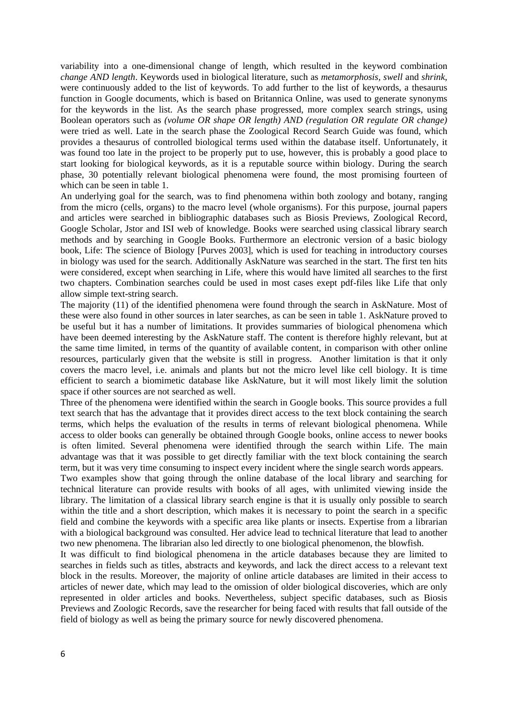variability into a one-dimensional change of length, which resulted in the keyword combination *change AND length*. Keywords used in biological literature, such as *metamorphosis, swell* and *shrink*, were continuously added to the list of keywords. To add further to the list of keywords, a thesaurus function in Google documents, which is based on Britannica Online, was used to generate synonyms for the keywords in the list. As the search phase progressed, more complex search strings, using Boolean operators such as *(volume OR shape OR length) AND (regulation OR regulate OR change)* were tried as well. Late in the search phase the Zoological Record Search Guide was found, which provides a thesaurus of controlled biological terms used within the database itself. Unfortunately, it was found too late in the project to be properly put to use, however, this is probably a good place to start looking for biological keywords, as it is a reputable source within biology. During the search phase, 30 potentially relevant biological phenomena were found, the most promising fourteen of which can be seen in table 1.

An underlying goal for the search, was to find phenomena within both zoology and botany, ranging from the micro (cells, organs) to the macro level (whole organisms). For this purpose, journal papers and articles were searched in bibliographic databases such as Biosis Previews, Zoological Record, Google Scholar, Jstor and ISI web of knowledge. Books were searched using classical library search methods and by searching in Google Books. Furthermore an electronic version of a basic biology book, Life: The science of Biology [Purves 2003], which is used for teaching in introductory courses in biology was used for the search. Additionally AskNature was searched in the start. The first ten hits were considered, except when searching in Life, where this would have limited all searches to the first two chapters. Combination searches could be used in most cases exept pdf-files like Life that only allow simple text-string search.

The majority (11) of the identified phenomena were found through the search in AskNature. Most of these were also found in other sources in later searches, as can be seen in table 1. AskNature proved to be useful but it has a number of limitations. It provides summaries of biological phenomena which have been deemed interesting by the AskNature staff. The content is therefore highly relevant, but at the same time limited, in terms of the quantity of available content, in comparison with other online resources, particularly given that the website is still in progress. Another limitation is that it only covers the macro level, i.e. animals and plants but not the micro level like cell biology. It is time efficient to search a biomimetic database like AskNature, but it will most likely limit the solution space if other sources are not searched as well.

Three of the phenomena were identified within the search in Google books. This source provides a full text search that has the advantage that it provides direct access to the text block containing the search terms, which helps the evaluation of the results in terms of relevant biological phenomena. While access to older books can generally be obtained through Google books, online access to newer books is often limited. Several phenomena were identified through the search within Life. The main advantage was that it was possible to get directly familiar with the text block containing the search term, but it was very time consuming to inspect every incident where the single search words appears.

Two examples show that going through the online database of the local library and searching for technical literature can provide results with books of all ages, with unlimited viewing inside the library. The limitation of a classical library search engine is that it is usually only possible to search within the title and a short description, which makes it is necessary to point the search in a specific field and combine the keywords with a specific area like plants or insects. Expertise from a librarian with a biological background was consulted. Her advice lead to technical literature that lead to another two new phenomena. The librarian also led directly to one biological phenomenon, the blowfish.

It was difficult to find biological phenomena in the article databases because they are limited to searches in fields such as titles, abstracts and keywords, and lack the direct access to a relevant text block in the results. Moreover, the majority of online article databases are limited in their access to articles of newer date, which may lead to the omission of older biological discoveries, which are only represented in older articles and books. Nevertheless, subject specific databases, such as Biosis Previews and Zoologic Records, save the researcher for being faced with results that fall outside of the field of biology as well as being the primary source for newly discovered phenomena.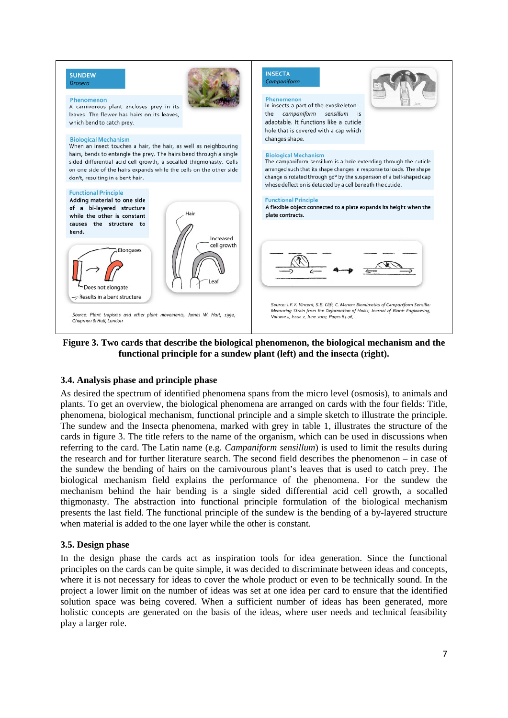

**Figure 3. Two cards that describe the biological phenomenon, the biological mechanism and the functional principle for a sundew plant (left) and the insecta (right).** 

#### **3.4. Analysis phase and principle phase**

As desired the spectrum of identified phenomena spans from the micro level (osmosis), to animals and plants. To get an overview, the biological phenomena are arranged on cards with the four fields: Title, phenomena, biological mechanism, functional principle and a simple sketch to illustrate the principle. The sundew and the Insecta phenomena, marked with grey in table 1, illustrates the structure of the cards in figure 3. The title refers to the name of the organism, which can be used in discussions when referring to the card. The Latin name (e.g. *Campaniform sensillum*) is used to limit the results during the research and for further literature search. The second field describes the phenomenon – in case of the sundew the bending of hairs on the carnivourous plant's leaves that is used to catch prey. The biological mechanism field explains the performance of the phenomena. For the sundew the mechanism behind the hair bending is a single sided differential acid cell growth, a socalled thigmonasty. The abstraction into functional principle formulation of the biological mechanism presents the last field. The functional principle of the sundew is the bending of a by-layered structure when material is added to the one layer while the other is constant.

#### **3.5. Design phase**

In the design phase the cards act as inspiration tools for idea generation. Since the functional principles on the cards can be quite simple, it was decided to discriminate between ideas and concepts, where it is not necessary for ideas to cover the whole product or even to be technically sound. In the project a lower limit on the number of ideas was set at one idea per card to ensure that the identified solution space was being covered. When a sufficient number of ideas has been generated, more holistic concepts are generated on the basis of the ideas, where user needs and technical feasibility play a larger role.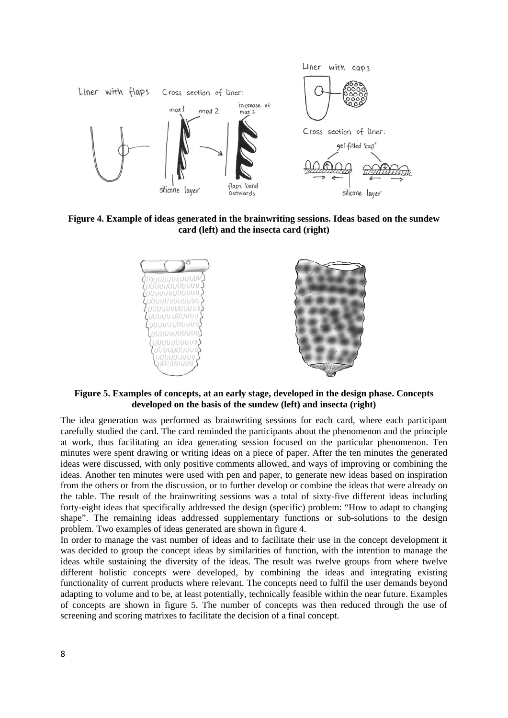

**Figure 4. Example of ideas generated in the brainwriting sessions. Ideas based on the sundew card (left) and the insecta card (right)** 



**Figure 5. Examples of concepts, at an early stage, developed in the design phase. Concepts developed on the basis of the sundew (left) and insecta (right)** 

The idea generation was performed as brainwriting sessions for each card, where each participant carefully studied the card. The card reminded the participants about the phenomenon and the principle at work, thus facilitating an idea generating session focused on the particular phenomenon. Ten minutes were spent drawing or writing ideas on a piece of paper. After the ten minutes the generated ideas were discussed, with only positive comments allowed, and ways of improving or combining the ideas. Another ten minutes were used with pen and paper, to generate new ideas based on inspiration from the others or from the discussion, or to further develop or combine the ideas that were already on the table. The result of the brainwriting sessions was a total of sixty-five different ideas including forty-eight ideas that specifically addressed the design (specific) problem: "How to adapt to changing shape". The remaining ideas addressed supplementary functions or sub-solutions to the design problem. Two examples of ideas generated are shown in figure 4.

In order to manage the vast number of ideas and to facilitate their use in the concept development it was decided to group the concept ideas by similarities of function, with the intention to manage the ideas while sustaining the diversity of the ideas. The result was twelve groups from where twelve different holistic concepts were developed, by combining the ideas and integrating existing functionality of current products where relevant. The concepts need to fulfil the user demands beyond adapting to volume and to be, at least potentially, technically feasible within the near future. Examples of concepts are shown in figure 5. The number of concepts was then reduced through the use of screening and scoring matrixes to facilitate the decision of a final concept.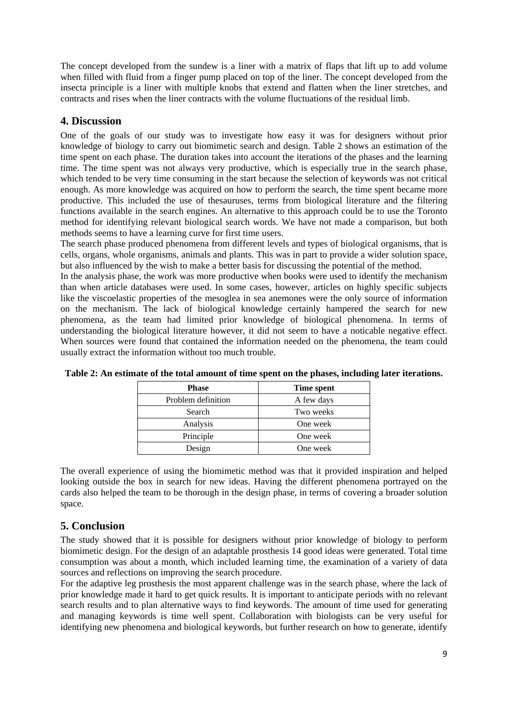The concept developed from the sundew is a liner with a matrix of flaps that lift up to add volume when filled with fluid from a finger pump placed on top of the liner. The concept developed from the insecta principle is a liner with multiple knobs that extend and flatten when the liner stretches, and contracts and rises when the liner contracts with the volume fluctuations of the residual limb.

## **4. Discussion**

One of the goals of our study was to investigate how easy it was for designers without prior knowledge of biology to carry out biomimetic search and design. Table 2 shows an estimation of the time spent on each phase. The duration takes into account the iterations of the phases and the learning time. The time spent was not always very productive, which is especially true in the search phase, which tended to be very time consuming in the start because the selection of keywords was not critical enough. As more knowledge was acquired on how to perform the search, the time spent became more productive. This included the use of thesauruses, terms from biological literature and the filtering functions available in the search engines. An alternative to this approach could be to use the Toronto method for identifying relevant biological search words. We have not made a comparison, but both methods seems to have a learning curve for first time users.

The search phase produced phenomena from different levels and types of biological organisms, that is cells, organs, whole organisms, animals and plants. This was in part to provide a wider solution space, but also influenced by the wish to make a better basis for discussing the potential of the method.

In the analysis phase, the work was more productive when books were used to identify the mechanism than when article databases were used. In some cases, however, articles on highly specific subjects like the viscoelastic properties of the mesoglea in sea anemones were the only source of information on the mechanism. The lack of biological knowledge certainly hampered the search for new phenomena, as the team had limited prior knowledge of biological phenomena. In terms of understanding the biological literature however, it did not seem to have a noticable negative effect. When sources were found that contained the information needed on the phenomena, the team could usually extract the information without too much trouble.

| <b>Phase</b>       | Time spent |  |  |
|--------------------|------------|--|--|
| Problem definition | A few days |  |  |
| Search             | Two weeks  |  |  |
| Analysis           | One week   |  |  |
| Principle          | One week   |  |  |
| Design             | One week   |  |  |
|                    |            |  |  |

**Table 2: An estimate of the total amount of time spent on the phases, including later iterations.** 

The overall experience of using the biomimetic method was that it provided inspiration and helped looking outside the box in search for new ideas. Having the different phenomena portrayed on the cards also helped the team to be thorough in the design phase, in terms of covering a broader solution space.

## **5. Conclusion**

The study showed that it is possible for designers without prior knowledge of biology to perform biomimetic design. For the design of an adaptable prosthesis 14 good ideas were generated. Total time consumption was about a month, which included learning time, the examination of a variety of data sources and reflections on improving the search procedure.

For the adaptive leg prosthesis the most apparent challenge was in the search phase, where the lack of prior knowledge made it hard to get quick results. It is important to anticipate periods with no relevant search results and to plan alternative ways to find keywords. The amount of time used for generating and managing keywords is time well spent. Collaboration with biologists can be very useful for identifying new phenomena and biological keywords, but further research on how to generate, identify